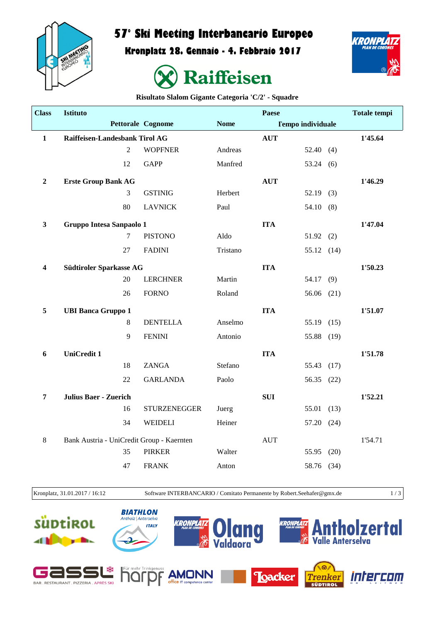

## **57° Ski Meeting Interbancario Europeo**

**Kronplatz 28. Gennaio - 4. Febbraio 2017**





**Risultato Slalom Gigante Categoria 'C/2' - Squadre**

| <b>Class</b>            | <b>Istituto</b>                           |                |                          |             | <b>Paese</b> |                          |      | <b>Totale tempi</b> |
|-------------------------|-------------------------------------------|----------------|--------------------------|-------------|--------------|--------------------------|------|---------------------|
|                         |                                           |                | <b>Pettorale Cognome</b> | <b>Nome</b> |              | <b>Tempo individuale</b> |      |                     |
| $\mathbf{1}$            | Raiffeisen-Landesbank Tirol AG            |                |                          |             | <b>AUT</b>   |                          |      | 1'45.64             |
|                         |                                           | $\overline{2}$ | <b>WOPFNER</b>           | Andreas     |              | 52.40(4)                 |      |                     |
|                         |                                           | 12             | <b>GAPP</b>              | Manfred     |              | 53.24(6)                 |      |                     |
| $\boldsymbol{2}$        | <b>Erste Group Bank AG</b>                |                |                          |             | <b>AUT</b>   |                          |      | 1'46.29             |
|                         |                                           | 3              | <b>GSTINIG</b>           | Herbert     |              | 52.19(3)                 |      |                     |
|                         |                                           | 80             | <b>LAVNICK</b>           | Paul        |              | 54.10(8)                 |      |                     |
| $\mathbf{3}$            | Gruppo Intesa Sanpaolo 1                  |                |                          |             | <b>ITA</b>   |                          |      | 1'47.04             |
|                         |                                           | $\tau$         | <b>PISTONO</b>           | Aldo        |              | 51.92(2)                 |      |                     |
|                         |                                           | 27             | <b>FADINI</b>            | Tristano    |              | 55.12 (14)               |      |                     |
| $\overline{\mathbf{4}}$ | Südtiroler Sparkasse AG                   |                |                          |             | <b>ITA</b>   |                          |      | 1'50.23             |
|                         |                                           | 20             | <b>LERCHNER</b>          | Martin      |              | 54.17 (9)                |      |                     |
|                         |                                           | 26             | <b>FORNO</b>             | Roland      |              | 56.06 $(21)$             |      |                     |
| 5                       | <b>UBI Banca Gruppo 1</b>                 |                |                          |             | <b>ITA</b>   |                          |      | 1'51.07             |
|                         |                                           | 8              | <b>DENTELLA</b>          | Anselmo     |              | 55.19                    | (15) |                     |
|                         |                                           | 9              | <b>FENINI</b>            | Antonio     |              | 55.88 (19)               |      |                     |
| 6                       | <b>UniCredit 1</b>                        |                |                          |             | <b>ITA</b>   |                          |      | 1'51.78             |
|                         |                                           | 18             | <b>ZANGA</b>             | Stefano     |              | 55.43                    | (17) |                     |
|                         |                                           | 22             | <b>GARLANDA</b>          | Paolo       |              | 56.35 (22)               |      |                     |
| 7                       | <b>Julius Baer - Zuerich</b>              |                |                          |             | <b>SUI</b>   |                          |      | 1'52.21             |
|                         |                                           | 16             | <b>STURZENEGGER</b>      | Juerg       |              | 55.01                    | (13) |                     |
|                         |                                           | 34             | <b>WEIDELI</b>           | Heiner      |              | 57.20 (24)               |      |                     |
| $\,8\,$                 | Bank Austria - UniCredit Group - Kaernten |                |                          |             | <b>AUT</b>   |                          |      | 1'54.71             |
|                         |                                           | 35             | <b>PIRKER</b>            | Walter      |              | 55.95                    | (20) |                     |
|                         |                                           | 47             | <b>FRANK</b>             | Anton       |              | 58.76 (34)               |      |                     |
|                         |                                           |                |                          |             |              |                          |      |                     |

Kronplatz, 31.01.2017 / 16:12 Software INTERBANCARIO / Comitato Permanente by Robert.Seehafer@gmx.de 1 / 3

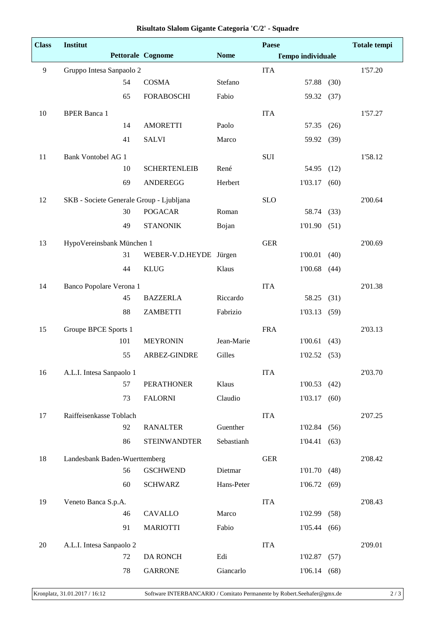| <b>Class</b>   | Institut                                 |     |                          |             | Paese      |                          |      | <b>Totale tempi</b> |
|----------------|------------------------------------------|-----|--------------------------|-------------|------------|--------------------------|------|---------------------|
|                |                                          |     | <b>Pettorale Cognome</b> | <b>Nome</b> |            | <b>Tempo individuale</b> |      |                     |
| $\overline{9}$ | Gruppo Intesa Sanpaolo 2                 |     |                          |             | <b>ITA</b> |                          |      | 1'57.20             |
|                |                                          | 54  | <b>COSMA</b>             | Stefano     |            | 57.88                    | (30) |                     |
|                |                                          | 65  | <b>FORABOSCHI</b>        | Fabio       |            | 59.32 (37)               |      |                     |
| 10             | <b>BPER Banca 1</b>                      |     |                          |             | <b>ITA</b> |                          |      | 1'57.27             |
|                |                                          | 14  | <b>AMORETTI</b>          | Paolo       |            | 57.35                    | (26) |                     |
|                |                                          | 41  | <b>SALVI</b>             | Marco       |            | 59.92                    | (39) |                     |
| 11             | <b>Bank Vontobel AG 1</b>                |     |                          |             | <b>SUI</b> |                          |      | 1'58.12             |
|                |                                          | 10  | <b>SCHERTENLEIB</b>      | René        |            | 54.95                    | (12) |                     |
|                |                                          | 69  | <b>ANDEREGG</b>          | Herbert     |            | 1'03.17                  | (60) |                     |
| 12             | SKB - Societe Generale Group - Ljubljana |     |                          |             | <b>SLO</b> |                          |      | 2'00.64             |
|                |                                          | 30  | <b>POGACAR</b>           | Roman       |            | 58.74                    | (33) |                     |
|                |                                          | 49  | <b>STANONIK</b>          | Bojan       |            | 1'01.90                  | (51) |                     |
| 13             | HypoVereinsbank München 1                |     |                          |             | <b>GER</b> |                          |      | 2'00.69             |
|                |                                          | 31  | WEBER-V.D.HEYDE Jürgen   |             |            | 1'00.01                  | (40) |                     |
|                |                                          | 44  | <b>KLUG</b>              | Klaus       |            | 1'00.68                  | (44) |                     |
| 14             | Banco Popolare Verona 1                  |     |                          |             | <b>ITA</b> |                          |      | 2'01.38             |
|                |                                          | 45  | <b>BAZZERLA</b>          | Riccardo    |            | 58.25                    | (31) |                     |
|                |                                          | 88  | ZAMBETTI                 | Fabrizio    |            | 1'03.13                  | (59) |                     |
| 15             | Groupe BPCE Sports 1                     |     |                          |             | <b>FRA</b> |                          |      | 2'03.13             |
|                |                                          | 101 | <b>MEYRONIN</b>          | Jean-Marie  |            | 1'00.61                  | (43) |                     |
|                |                                          | 55  | ARBEZ-GINDRE             | Gilles      |            | 1'02.52                  | (53) |                     |
| 16             | A.L.I. Intesa Sanpaolo 1                 |     |                          |             | <b>ITA</b> |                          |      | 2'03.70             |
|                |                                          | 57  | <b>PERATHONER</b>        | Klaus       |            | 1'00.53                  | (42) |                     |
|                |                                          | 73  | <b>FALORNI</b>           | Claudio     |            | 1'03.17                  | (60) |                     |
| 17             | Raiffeisenkasse Toblach                  |     |                          |             | <b>ITA</b> |                          |      | 2'07.25             |
|                |                                          | 92  | <b>RANALTER</b>          | Guenther    |            | 1'02.84                  | (56) |                     |
|                |                                          | 86  | <b>STEINWANDTER</b>      | Sebastianh  |            | 1'04.41                  | (63) |                     |
| 18             | Landesbank Baden-Wuerttemberg            |     |                          |             | <b>GER</b> |                          |      | 2'08.42             |
|                |                                          | 56  | <b>GSCHWEND</b>          | Dietmar     |            | 1'01.70                  | (48) |                     |
|                |                                          | 60  | <b>SCHWARZ</b>           | Hans-Peter  |            | 1'06.72                  | (69) |                     |
| 19             | Veneto Banca S.p.A.                      |     |                          |             | <b>ITA</b> |                          |      | 2'08.43             |
|                |                                          | 46  | CAVALLO                  | Marco       |            | 1'02.99                  | (58) |                     |
|                |                                          | 91  | <b>MARIOTTI</b>          | Fabio       |            | 1'05.44                  | (66) |                     |
| 20             | A.L.I. Intesa Sanpaolo 2                 |     |                          |             | <b>ITA</b> |                          |      | 2'09.01             |
|                |                                          | 72  | DA RONCH                 | Edi         |            | 1'02.87                  | (57) |                     |
|                |                                          | 78  | <b>GARRONE</b>           | Giancarlo   |            | 1'06.14(68)              |      |                     |
|                |                                          |     |                          |             |            |                          |      |                     |

**Risultato Slalom Gigante Categoria 'C/2' - Squadre**